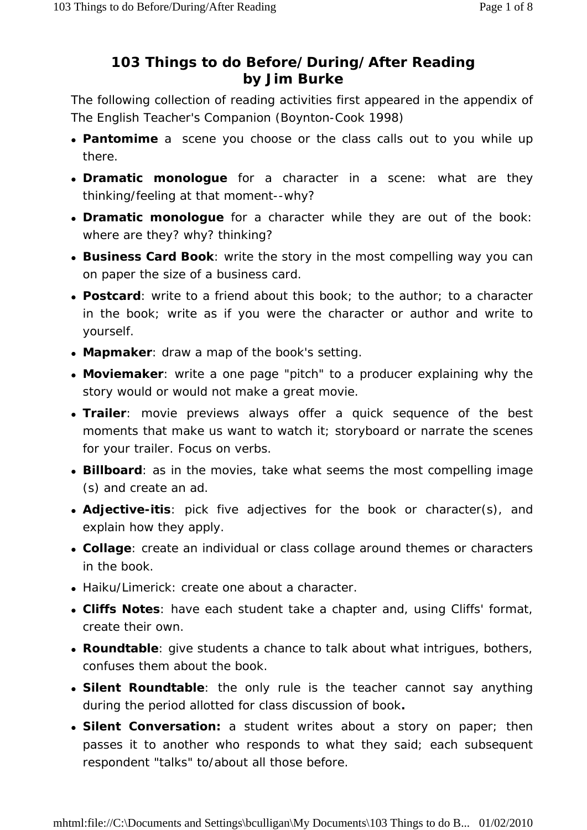## **103 Things to do Before/During/After Reading by Jim Burke**

The following collection of reading activities first appeared in the appendix of *The English Teacher's Companion* (Boynton-Cook 1998)

- **Pantomime** a scene you choose or the class calls out to you while up there.
- **Dramatic monologue** for a character in a scene: what are they thinking/feeling at that moment--why?
- **Dramatic monologue** for a character while they are out of the book: where are they? why? thinking?
- **Business Card Book**: write the story in the most compelling way you can on paper the size of a business card.
- **Postcard**: write to a friend about this book; to the author; to a character in the book; write as if you were the character or author and write to yourself.
- **Mapmaker**: draw a map of the book's setting.
- **Moviemaker**: write a one page "pitch" to a producer explaining why the story would or would not make a great movie.
- **Trailer**: movie previews always offer a quick sequence of the best moments that make us want to watch it; storyboard or narrate the scenes for your trailer. Focus on verbs.
- **Billboard**: as in the movies, take what seems the most compelling image (s) and create an ad.
- **Adjective-itis**: pick five adjectives for the book or character(s), and explain how they apply.
- **Collage**: create an individual or class collage around themes or characters in the book.
- Haiku/Limerick: create one about a character.
- Cliffs Notes: have each student take a chapter and, using Cliffs' format, create their own.
- **Roundtable**: give students a chance to talk about what intrigues, bothers, confuses them about the book.
- **Silent Roundtable**: the only rule is the teacher cannot say *anything* during the period allotted for class discussion of book**.**
- **Silent Conversation:** a student writes about a story on paper; then passes it to another who responds to what they said; each subsequent respondent "talks" to/about all those before.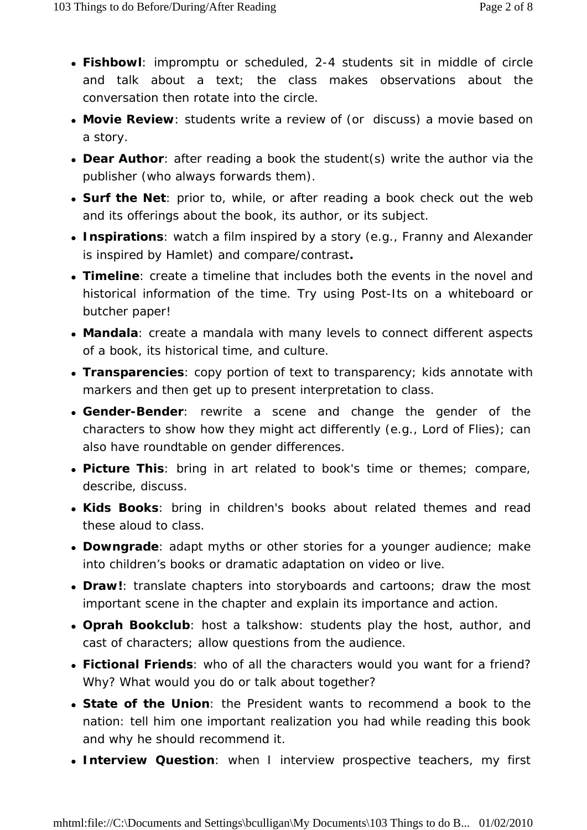- **Fishbowl**: impromptu or scheduled, 2-4 students sit in middle of circle and talk about a text; the class makes observations about the conversation then rotate into the circle.
- **Movie Review**: students write a review of (or discuss) a movie based on a story.
- **Dear Author**: after reading a book the student(s) write the author via the publisher (who always forwards them).
- **Surf the Net**: prior to, while, or after reading a book check out the web and its offerings about the book, its author, or its subject.
- **Inspirations**: watch a film inspired by a story (e.g., *Franny and Alexander* is inspired by *Hamlet*) and compare/contrast**.**
- *Timeline*: create a timeline that includes both the events in the novel and historical information of the time. Try using Post-Its on a whiteboard or butcher paper!
- *Mandala*: create a mandala with many levels to connect different aspects of a book, its historical time, and culture.
- *Transparencies*: copy portion of text to transparency; kids annotate with markers and then get up to present interpretation to class.
- **Gender-Bender**: rewrite a scene and change the gender of the characters to show how they might act differently (e.g., *Lord of Flies*); can also have roundtable on gender differences.
- **Picture This**: bring in art related to book's time or themes; compare, describe, discuss.
- **Kids Books**: bring in children's books about related themes and read these aloud to class.
- **Downgrade**: adapt myths or other stories for a younger audience; make into children's books or dramatic adaptation on video or live.
- *Draw!*: translate chapters into storyboards and cartoons; draw the most important scene in the chapter and explain its importance and action.
- **Oprah Bookclub**: host a talkshow: students play the host, author, and cast of characters; allow questions from the audience.
- Fictional Friends: who of all the characters would you want for a friend? Why? What would you do or talk about together?
- **State of the Union**: the President wants to recommend a book to the nation: tell him one important realization you had while reading this book and why he should recommend it.
- **Interview Question**: when I interview prospective teachers, my first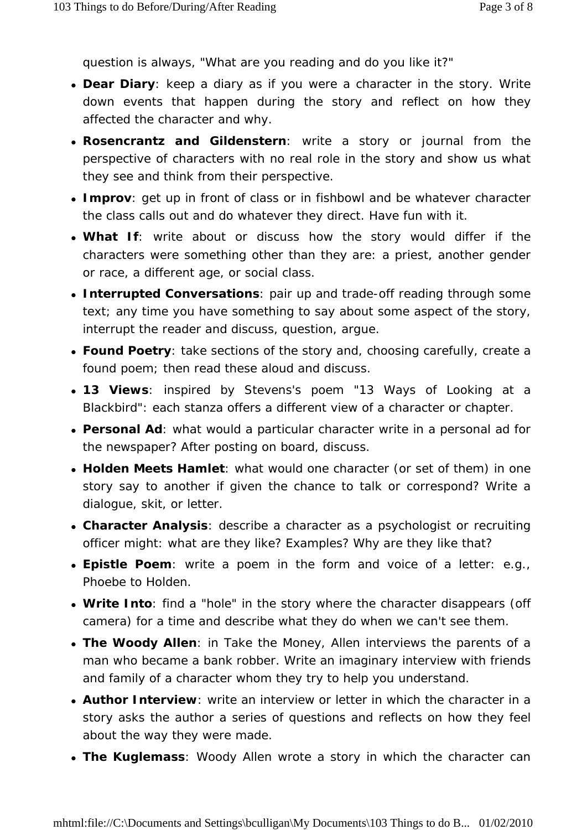question is always, "What are you reading and do you like it?"

- **Dear Diary**: keep a diary as if you were a character in the story. Write down events that happen during the story and reflect on *how* they affected the character and *why*.
- **Rosencrantz and Gildenstern**: write a story or journal from the perspective of characters with no real role in the story and show us what they see and think from their perspective.
- *Improv*: get up in front of class or in fishbowl and be whatever character the class calls out and do whatever they direct. Have fun with it.
- What If: write about or discuss how the story would differ if the characters were something other than they are: a priest, another gender or race, a different age, or social class.
- **Interrupted Conversations**: pair up and trade-off reading through some text; *any time* you have something to say about some aspect of the story, interrupt the reader and discuss, question, argue.
- **Found Poetry**: take sections of the story and, choosing carefully, create a found poem; then read these aloud and discuss.
- **13 Views**: inspired by Stevens's poem "13 Ways of Looking at a Blackbird": each stanza offers a different view of a character or chapter.
- **Personal Ad**: what would a particular character write in a personal ad for the newspaper? After posting on board, discuss.
- Holden Meets Hamlet: what would one character (or set of them) in one story say to another if given the chance to talk or correspond? Write a dialogue, skit, or letter.
- **Character Analysis**: describe a character as a psychologist or recruiting officer might: what are they like? Examples? Why are they like that?
- **Epistle Poem**: write a poem in the form and voice of a letter: e.g., Phoebe to Holden.
- Write Into: find a "hole" in the story where the character disappears (off camera) for a time and describe what they do when we can't see them.
- *The Woody Allen*: in *Take the Money*, Allen interviews the parents of a man who became a bank robber. Write an imaginary interview with friends and family of a character whom they try to help you understand.
- **Author Interview**: write an interview or letter in which the character in a story asks the author a series of questions and reflects on how they feel about the way they were made.
- The Kuglemass: Woody Allen wrote a story in which the character can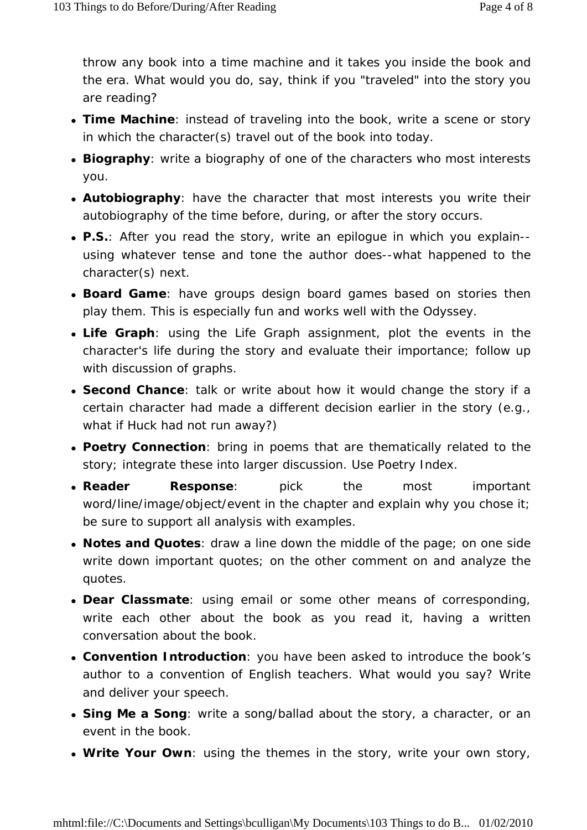throw any book into a time machine and it takes you inside the book and the era. What would you do, say, think if you "traveled" into the story you are reading?

- *Time Machine*: instead of traveling into the book, write a scene or story in which the character(s) travel out of the book into today.
- **Biography**: write a biography of one of the characters who most interests you.
- **Autobiography**: have the character that most interests you write their autobiography of the time before, during, or after the story occurs.
- P.S.: After you read the story, write an epiloque in which you explain-using whatever tense and tone the author does--what happened to the character(s) next.
- **Board Game**: have groups design board games based on stories then play them. This is especially fun and works well with the *Odyssey*.
- Life Graph: using the Life Graph assignment, plot the events in the character's life during the story and evaluate their importance; follow up with discussion of graphs.
- **Second Chance**: talk or write about how it would change the story if a certain character had made a different decision earlier in the story (e.g., what if Huck had not run away?)
- **Poetry Connection**: bring in poems that are thematically related to the story; integrate these into larger discussion. Use *Poetry Index*.
- **Reader Response**: pick the most important word/line/image/object/event in the chapter and explain why you chose it; be sure to support all analysis with examples.
- **Notes and Quotes**: draw a line down the middle of the page; on one side write down important quotes; on the other comment on and analyze the quotes.
- **Dear Classmate**: using email or some other means of corresponding, write each other about the book as you read it, having a written conversation about the book.
- **Convention Introduction**: you have been asked to introduce the book's author to a convention of English teachers. What would you say? Write and deliver your speech.
- **Sing Me a Song**: write a song/ballad about the story, a character, or an event in the book.
- Write Your Own: using the themes in the story, write your own story,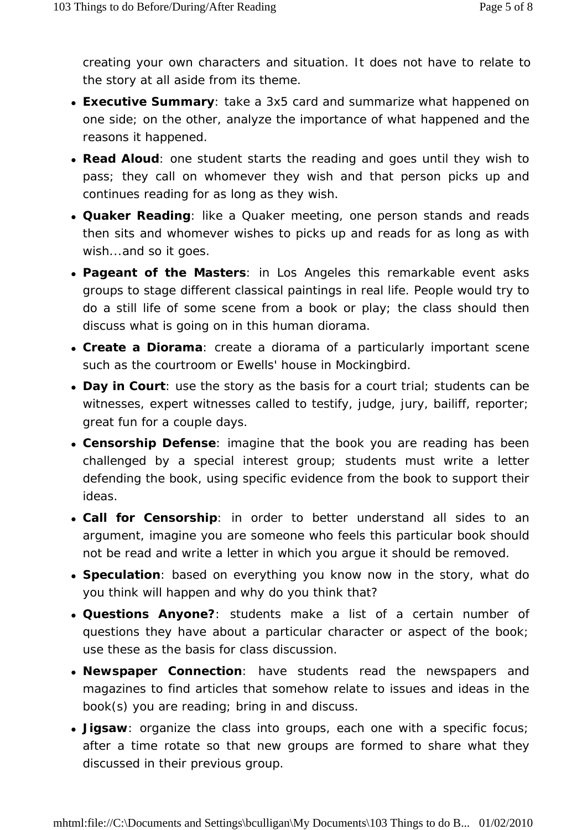creating your own characters and situation. It does not have to relate to the story at all aside from its theme.

- **Executive Summary**: take a 3x5 card and summarize what happened on one side; on the other, analyze the importance of what happened and the reasons it happened.
- **Read Aloud**: one student starts the reading and goes until they wish to pass; they call on whomever they wish and that person picks up and continues reading for as long as they wish.
- **Quaker Reading**: like a Quaker meeting, one person stands and reads then sits and whomever wishes to picks up and reads for as long as with wish...and so it goes.
- **Pageant of the Masters**: in Los Angeles this remarkable event asks groups to stage different classical paintings in real life. People would try to do a still life of some scene from a book or play; the class should then discuss what is going on in this human diorama.
- **Create a Diorama**: create a diorama of a particularly important scene such as the courtroom or Ewells' house in *Mockingbird*.
- *Day in Court*: use the story as the basis for a court trial; students can be witnesses, expert witnesses called to testify, judge, jury, bailiff, reporter; great fun for a couple days.
- **Censorship Defense**: imagine that the book you are reading has been challenged by a special interest group; students must write a letter defending the book, using specific evidence from the book to support their ideas.
- Call for Censorship: in order to better understand all sides to an argument, imagine you are someone who feels this particular book should *not* be read and write a letter in which you argue it should be removed.
- **Speculation**: based on everything you know now in the story, what do you think will happen and why do you think that?
- **Questions Anyone?**: students make a list of a certain number of questions they have about a particular character or aspect of the book; use these as the basis for class discussion.
- **Newspaper Connection**: have students read the newspapers and magazines to find articles that somehow relate to issues and ideas in the book(s) you are reading; bring in and discuss.
- **Jigsaw**: organize the class into groups, each one with a specific focus; after a time rotate so that new groups are formed to share what they discussed in their previous group.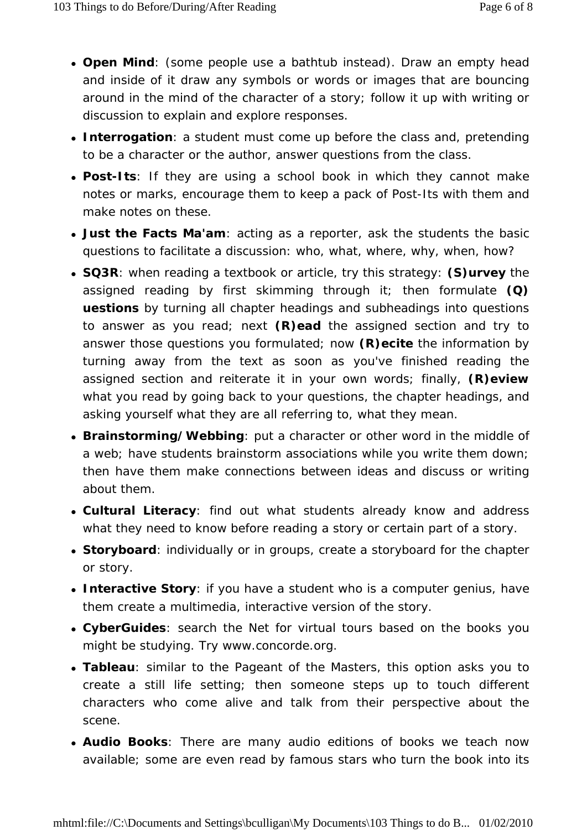- **Open Mind**: (some people use a bathtub instead). Draw an empty head and inside of it draw any symbols or words or images that are bouncing around in the mind of the character of a story; follow it up with writing or discussion to explain and explore responses.
- *Interrogation*: a student must come up before the class and, pretending to be a character or the author, answer questions from the class.
- **Post-Its**: If they are using a school book in which they cannot make notes or marks, encourage them to keep a pack of Post-Its with them and make notes on these.
- Just the Facts Ma'am: acting as a reporter, ask the students the basic questions to facilitate a discussion: who, what, where, why, when, how?
- **SQ3R**: when reading a textbook or article, try this strategy: **(S)urvey** the assigned reading by first skimming through it; then formulate **(Q) uestions** by turning all chapter headings and subheadings into questions to answer as you read; next **(R)ead** the assigned section and try to answer those questions you formulated; now **(R)ecite** the information by turning away from the text as soon as you've finished reading the assigned section and reiterate it in your own words; finally, **(R)eview** what you read by going back to your questions, the chapter headings, and asking yourself what they are all referring to, what they mean.
- **Brainstorming/Webbing**: put a character or other word in the middle of a web; have students brainstorm associations while you write them down; then have them make connections between ideas and discuss or writing about them.
- **Cultural Literacy**: find out what students already know and address what they need to know before reading a story or certain part of a story.
- **Storyboard**: individually or in groups, create a storyboard for the chapter or story.
- **Interactive Story**: if you have a student who is a computer genius, have them create a multimedia, interactive version of the story.
- **CyberGuides**: search the Net for virtual tours based on the books you might be studying. Try www.concorde.org.
- **Tableau**: similar to the Pageant of the Masters, this option asks you to create a still life setting; then someone steps up to touch different characters who come alive and talk from their perspective about the scene.
- **Audio Books**: There are many audio editions of books we teach now available; some are even read by famous stars who turn the book into its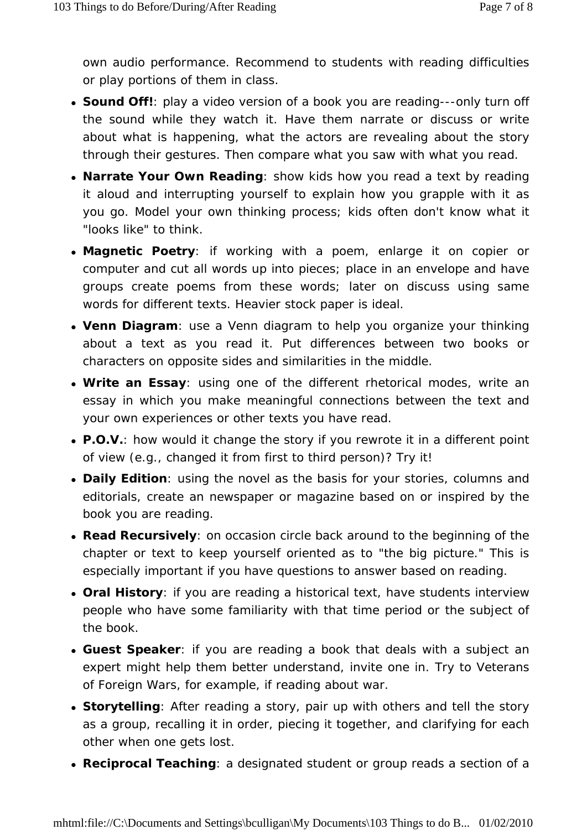own audio performance. Recommend to students with reading difficulties or play portions of them in class.

- **Sound Off!**: play a video version of a book you are reading---only turn off the sound while they watch it. Have them narrate or discuss or write about what is happening, what the actors are revealing about the story through their gestures. Then compare what you saw with what you read.
- **Narrate Your Own Reading**: show kids how you read a text by reading it aloud and interrupting yourself to explain how you grapple with it as you go. Model your own thinking process; kids often don't know what it "looks like" to think.
- Magnetic Poetry: if working with a poem, enlarge it on copier or computer and cut all words up into pieces; place in an envelope and have groups create poems from these words; later on discuss using same words for different texts. Heavier stock paper is ideal.
- Venn Diagram: use a Venn diagram to help you organize your thinking about a text as you read it. Put differences between two books or characters on opposite sides and similarities in the middle.
- Write an Essay: using one of the different rhetorical modes, write an essay in which you make meaningful connections between the text and your own experiences or other texts you have read.
- **P.O.V.**: how would it change the story if you rewrote it in a different point of view (e.g., changed it from first to third person)? Try it!
- **Daily Edition**: using the novel as the basis for your stories, columns and editorials, create an newspaper or magazine based on or inspired by the book you are reading.
- **Read Recursively**: on occasion circle back around to the beginning of the chapter or text to keep yourself oriented as to "the big picture." This is especially important if you have questions to answer based on reading.
- **Oral History**: if you are reading a historical text, have students interview people who have some familiarity with that time period or the subject of the book.
- **Guest Speaker**: if you are reading a book that deals with a subject an expert might help them better understand, invite one in. Try to Veterans of Foreign Wars, for example, if reading about war.
- **Storytelling**: After reading a story, pair up with others and tell the story as a group, recalling it in order, piecing it together, and clarifying for each other when one gets lost.
- **Reciprocal Teaching**: a designated student or group reads a section of a